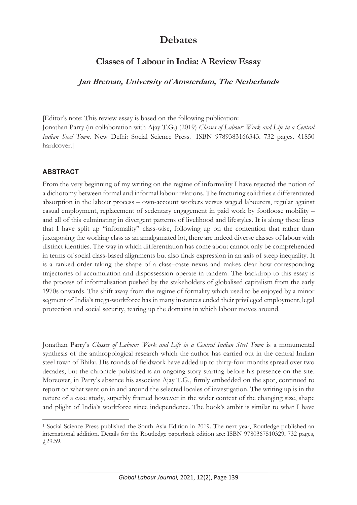# **Debates**

## **Classes of Labour in India: A Review Essay**

**Jan Breman, University of Amsterdam, The Netherlands** 

[Editor's note: This review essay is based on the following publication: Jonathan Parry (in collaboration with Ajay T.G.) (2019) *Classes of Labour: Work and Life in a Central Indian Steel Town.* New Delhi: Social Science Press.<sup>1</sup> ISBN 9789383166343. 732 pages. ₹1850 hardcover.]

## **ABSTRACT**

From the very beginning of my writing on the regime of informality I have rejected the notion of a dichotomy between formal and informal labour relations. The fracturing solidifies a differentiated absorption in the labour process – own-account workers versus waged labourers, regular against casual employment, replacement of sedentary engagement in paid work by footloose mobility – and all of this culminating in divergent patterns of livelihood and lifestyles. It is along these lines that I have split up "informality" class-wise, following up on the contention that rather than juxtaposing the working class as an amalgamated lot, there are indeed diverse classes of labour with distinct identities. The way in which differentiation has come about cannot only be comprehended in terms of social class-based alignments but also finds expression in an axis of steep inequality. It is a ranked order taking the shape of a class–caste nexus and makes clear how corresponding trajectories of accumulation and dispossession operate in tandem. The backdrop to this essay is the process of informalisation pushed by the stakeholders of globalised capitalism from the early 1970s onwards. The shift away from the regime of formality which used to be enjoyed by a minor segment of India's mega-workforce has in many instances ended their privileged employment, legal protection and social security, tearing up the domains in which labour moves around.

Jonathan Parry's *Classes of Labour: Work and Life in a Central Indian Steel Town* is a monumental synthesis of the anthropological research which the author has carried out in the central Indian steel town of Bhilai. His rounds of fieldwork have added up to thirty-four months spread over two decades, but the chronicle published is an ongoing story starting before his presence on the site. Moreover, in Parry's absence his associate Ajay T.G., firmly embedded on the spot, continued to report on what went on in and around the selected locales of investigation. The writing up is in the nature of a case study, superbly framed however in the wider context of the changing size, shape and plight of India's workforce since independence. The book's ambit is similar to what I have

<sup>1</sup> Social Science Press published the South Asia Edition in 2019. The next year, Routledge published an international addition. Details for the Routledge paperback edition are: ISBN 9780367510329, 732 pages, £29.59.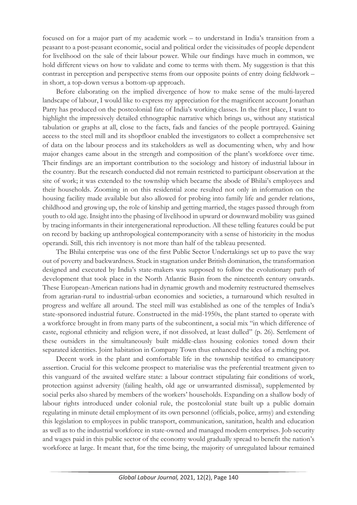focused on for a major part of my academic work – to understand in India's transition from a peasant to a post-peasant economic, social and political order the vicissitudes of people dependent for livelihood on the sale of their labour power. While our findings have much in common, we hold different views on how to validate and come to terms with them. My suggestion is that this contrast in perception and perspective stems from our opposite points of entry doing fieldwork – in short, a top-down versus a bottom-up approach.

Before elaborating on the implied divergence of how to make sense of the multi-layered landscape of labour, I would like to express my appreciation for the magnificent account Jonathan Parry has produced on the postcolonial fate of India's working classes. In the first place, I want to highlight the impressively detailed ethnographic narrative which brings us, without any statistical tabulation or graphs at all, close to the facts, fads and fancies of the people portrayed. Gaining access to the steel mill and its shopfloor enabled the investigators to collect a comprehensive set of data on the labour process and its stakeholders as well as documenting when, why and how major changes came about in the strength and composition of the plant's workforce over time. Their findings are an important contribution to the sociology and history of industrial labour in the country. But the research conducted did not remain restricted to participant observation at the site of work; it was extended to the township which became the abode of Bhilai's employees and their households. Zooming in on this residential zone resulted not only in information on the housing facility made available but also allowed for probing into family life and gender relations, childhood and growing up, the role of kinship and getting married, the stages passed through from youth to old age. Insight into the phasing of livelihood in upward or downward mobility was gained by tracing informants in their intergenerational reproduction. All these telling features could be put on record by backing up anthropological contemporaneity with a sense of historicity in the modus operandi. Still, this rich inventory is not more than half of the tableau presented.

The Bhilai enterprise was one of the first Public Sector Undertakings set up to pave the way out of poverty and backwardness. Stuck in stagnation under British domination, the transformation designed and executed by India's state-makers was supposed to follow the evolutionary path of development that took place in the North Atlantic Basin from the nineteenth century onwards. These European-American nations had in dynamic growth and modernity restructured themselves from agrarian-rural to industrial-urban economies and societies, a turnaround which resulted in progress and welfare all around. The steel mill was established as one of the temples of India's state-sponsored industrial future. Constructed in the mid-1950s, the plant started to operate with a workforce brought in from many parts of the subcontinent, a social mix "in which difference of caste, regional ethnicity and religion were, if not dissolved, at least dulled" (p. 26). Settlement of these outsiders in the simultaneously built middle-class housing colonies toned down their separated identities. Joint habitation in Company Town thus enhanced the idea of a melting pot.

Decent work in the plant and comfortable life in the township testified to emancipatory assertion. Crucial for this welcome prospect to materialise was the preferential treatment given to this vanguard of the awaited welfare state: a labour contract stipulating fair conditions of work, protection against adversity (failing health, old age or unwarranted dismissal), supplemented by social perks also shared by members of the workers' households. Expanding on a shallow body of labour rights introduced under colonial rule, the postcolonial state built up a public domain regulating in minute detail employment of its own personnel (officials, police, army) and extending this legislation to employees in public transport, communication, sanitation, health and education as well as to the industrial workforce in state-owned and managed modern enterprises. Job security and wages paid in this public sector of the economy would gradually spread to benefit the nation's workforce at large. It meant that, for the time being, the majority of unregulated labour remained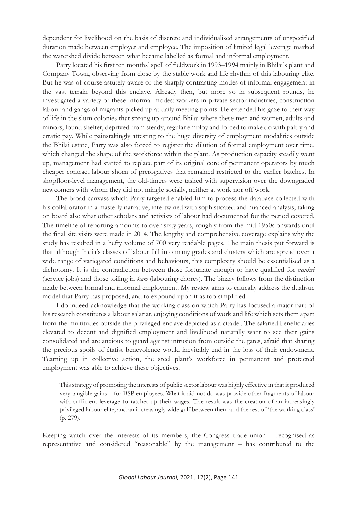dependent for livelihood on the basis of discrete and individualised arrangements of unspecified duration made between employer and employee. The imposition of limited legal leverage marked the watershed divide between what became labelled as formal and informal employment.

Parry located his first ten months' spell of fieldwork in 1993–1994 mainly in Bhilai's plant and Company Town, observing from close by the stable work and life rhythm of this labouring elite. But he was of course astutely aware of the sharply contrasting modes of informal engagement in the vast terrain beyond this enclave. Already then, but more so in subsequent rounds, he investigated a variety of these informal modes: workers in private sector industries, construction labour and gangs of migrants picked up at daily meeting points. He extended his gaze to their way of life in the slum colonies that sprang up around Bhilai where these men and women, adults and minors, found shelter, deprived from steady, regular employ and forced to make do with paltry and erratic pay. While painstakingly attesting to the huge diversity of employment modalities outside the Bhilai estate, Parry was also forced to register the dilution of formal employment over time, which changed the shape of the workforce within the plant. As production capacity steadily went up, management had started to replace part of its original core of permanent operators by much cheaper contract labour shorn of prerogatives that remained restricted to the earlier batches. In shopfloor-level management, the old-timers were tasked with supervision over the downgraded newcomers with whom they did not mingle socially, neither at work nor off work.

The broad canvass which Parry targeted enabled him to process the database collected with his collaborator in a masterly narrative, intertwined with sophisticated and nuanced analysis, taking on board also what other scholars and activists of labour had documented for the period covered. The timeline of reporting amounts to over sixty years, roughly from the mid-1950s onwards until the final site visits were made in 2014. The lengthy and comprehensive coverage explains why the study has resulted in a hefty volume of 700 very readable pages. The main thesis put forward is that although India's classes of labour fall into many grades and clusters which are spread over a wide range of variegated conditions and behaviours, this complexity should be essentialised as a dichotomy. It is the contradiction between those fortunate enough to have qualified for *naukri* (service jobs) and those toiling in *kam* (labouring chores). The binary follows from the distinction made between formal and informal employment. My review aims to critically address the dualistic model that Parry has proposed, and to expound upon it as too simplified.

I do indeed acknowledge that the working class on which Parry has focused a major part of his research constitutes a labour salariat, enjoying conditions of work and life which sets them apart from the multitudes outside the privileged enclave depicted as a citadel. The salaried beneficiaries elevated to decent and dignified employment and livelihood naturally want to see their gains consolidated and are anxious to guard against intrusion from outside the gates, afraid that sharing the precious spoils of étatist benevolence would inevitably end in the loss of their endowment. Teaming up in collective action, the steel plant's workforce in permanent and protected employment was able to achieve these objectives.

This strategy of promoting the interests of public sector labour was highly effective in that it produced very tangible gains – for BSP employees. What it did not do was provide other fragments of labour with sufficient leverage to ratchet up their wages. The result was the creation of an increasingly privileged labour elite, and an increasingly wide gulf between them and the rest of 'the working class' (p. 279).

Keeping watch over the interests of its members, the Congress trade union – recognised as representative and considered "reasonable" by the management – has contributed to the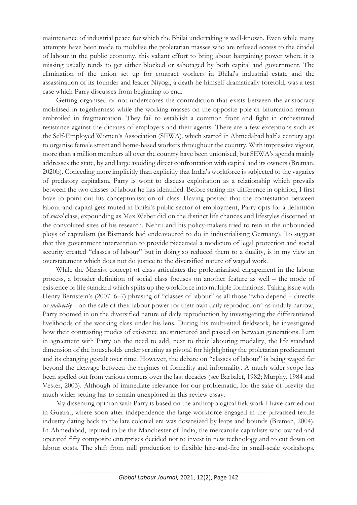maintenance of industrial peace for which the Bhilai undertaking is well-known. Even while many attempts have been made to mobilise the proletarian masses who are refused access to the citadel of labour in the public economy, this valiant effort to bring about bargaining power where it is missing usually tends to get either blocked or sabotaged by both capital and government. The elimination of the union set up for contract workers in Bhilai's industrial estate and the assassination of its founder and leader Niyogi, a death he himself dramatically foretold, was a test case which Parry discusses from beginning to end.

Getting organised or not underscores the contradiction that exists between the aristocracy mobilised in togetherness while the working masses on the opposite pole of bifurcation remain embroiled in fragmentation. They fail to establish a common front and fight in orchestrated resistance against the dictates of employers and their agents. There are a few exceptions such as the Self-Employed Women's Association (SEWA), which started in Ahmedabad half a century ago to organise female street and home-based workers throughout the country. With impressive vigour, more than a million members all over the country have been unionised, but SEWA's agenda mainly addresses the state, by and large avoiding direct confrontation with capital and its owners (Breman, 2020b). Conceding more implicitly than explicitly that India's workforce is subjected to the vagaries of predatory capitalism, Parry is wont to discuss exploitation as a relationship which prevails between the two classes of labour he has identified. Before stating my difference in opinion, I first have to point out his conceptualisation of class. Having posited that the contestation between labour and capital gets muted in Bhilai's public sector of employment, Parry opts for a definition of *social* class, expounding as Max Weber did on the distinct life chances and lifestyles discerned at the convoluted sites of his research. Nehru and his policy-makers tried to rein in the unbounded ploys of capitalism (as Bismarck had endeavoured to do in industrialising Germany). To suggest that this government intervention to provide piecemeal a modicum of legal protection and social security created "classes of labour" but in doing so reduced them to a duality, is in my view an overstatement which does not do justice to the diversified nature of waged work.

While the Marxist concept of class articulates the proletarianised engagement in the labour process, a broader definition of social class focuses on another feature as well – the mode of existence or life standard which splits up the workforce into multiple formations. Taking issue with Henry Bernstein's (2007: 6–7) phrasing of "classes of labour" as all those "who depend – directly or *indirectly* – on the sale of their labour power for their own daily reproduction" as unduly narrow, Parry zoomed in on the diversified nature of daily reproduction by investigating the differentiated livelihoods of the working class under his lens. During his multi-sited fieldwork, he investigated how their contrasting modes of existence are structured and passed on between generations. I am in agreement with Parry on the need to add, next to their labouring modality, the life standard dimension of the households under scrutiny as pivotal for highlighting the proletarian predicament and its changing gestalt over time. However, the debate on "classes of labour" is being waged far beyond the cleavage between the regimes of formality and informality. A much wider scope has been spelled out from various corners over the last decades (see Barbalet, 1982; Murphy, 1984 and Vester, 2003). Although of immediate relevance for our problematic, for the sake of brevity the much wider setting has to remain unexplored in this review essay.

My dissenting opinion with Parry is based on the anthropological fieldwork I have carried out in Gujarat, where soon after independence the large workforce engaged in the privatised textile industry dating back to the late colonial era was downsized by leaps and bounds (Breman, 2004). In Ahmedabad, reputed to be the Manchester of India, the mercantile capitalists who owned and operated fifty composite enterprises decided not to invest in new technology and to cut down on labour costs. The shift from mill production to flexible hire-and-fire in small-scale workshops,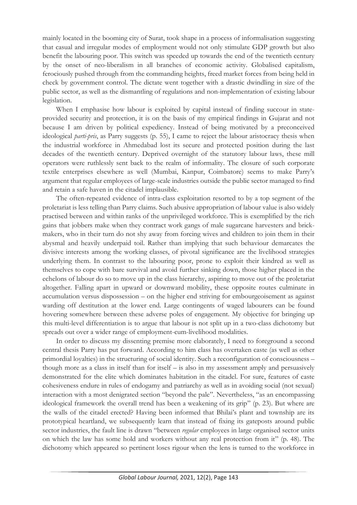mainly located in the booming city of Surat, took shape in a process of informalisation suggesting that casual and irregular modes of employment would not only stimulate GDP growth but also benefit the labouring poor. This switch was speeded up towards the end of the twentieth century by the onset of neo-liberalism in all branches of economic activity. Globalised capitalism, ferociously pushed through from the commanding heights, freed market forces from being held in check by government control. The dictate went together with a drastic dwindling in size of the public sector, as well as the dismantling of regulations and non-implementation of existing labour legislation.

When I emphasise how labour is exploited by capital instead of finding succour in stateprovided security and protection, it is on the basis of my empirical findings in Gujarat and not because I am driven by political expediency. Instead of being motivated by a preconceived ideological *parti-pris*, as Parry suggests (p. 55), I came to reject the labour aristocracy thesis when the industrial workforce in Ahmedabad lost its secure and protected position during the last decades of the twentieth century. Deprived overnight of the statutory labour laws, these mill operators were ruthlessly sent back to the realm of informality. The closure of such corporate textile enterprises elsewhere as well (Mumbai, Kanpur, Coimbatore) seems to make Parry's argument that regular employees of large-scale industries outside the public sector managed to find and retain a safe haven in the citadel implausible.

The often-repeated evidence of intra-class exploitation resorted to by a top segment of the proletariat is less telling than Parry claims. Such abusive appropriation of labour value is also widely practised between and within ranks of the unprivileged workforce. This is exemplified by the rich gains that jobbers make when they contract work gangs of male sugarcane harvesters and brickmakers, who in their turn do not shy away from forcing wives and children to join them in their abysmal and heavily underpaid toil. Rather than implying that such behaviour demarcates the divisive interests among the working classes, of pivotal significance are the livelihood strategies underlying them. In contrast to the labouring poor, prone to exploit their kindred as well as themselves to cope with bare survival and avoid further sinking down, those higher placed in the echelons of labour do so to move up in the class hierarchy, aspiring to move out of the proletariat altogether. Falling apart in upward or downward mobility, these opposite routes culminate in accumulation versus dispossession – on the higher end striving for embourgeoisement as against warding off destitution at the lower end. Large contingents of waged labourers can be found hovering somewhere between these adverse poles of engagement. My objective for bringing up this multi-level differentiation is to argue that labour is not split up in a two-class dichotomy but spreads out over a wider range of employment-cum-livelihood modalities.

In order to discuss my dissenting premise more elaborately, I need to foreground a second central thesis Parry has put forward. According to him class has overtaken caste (as well as other primordial loyalties) in the structuring of social identity. Such a reconfiguration of consciousness – though more as a class in itself than for itself – is also in my assessment amply and persuasively demonstrated for the elite which dominates habitation in the citadel. For sure, features of caste cohesiveness endure in rules of endogamy and patriarchy as well as in avoiding social (not sexual) interaction with a most denigrated section "beyond the pale". Nevertheless, "as an encompassing ideological framework the overall trend has been a weakening of its grip" (p. 23). But where are the walls of the citadel erected? Having been informed that Bhilai's plant and township are its prototypical heartland, we subsequently learn that instead of fixing its gateposts around public sector industries, the fault line is drawn "between *regular* employees in large organised sector units on which the law has some hold and workers without any real protection from it" (p. 48). The dichotomy which appeared so pertinent loses rigour when the lens is turned to the workforce in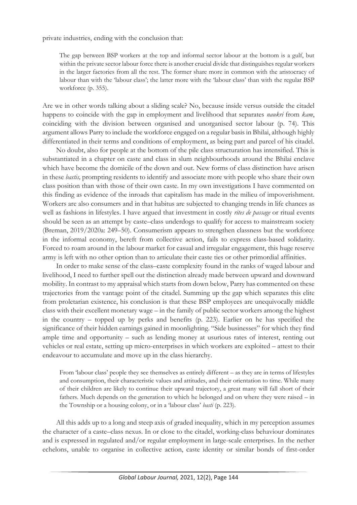private industries, ending with the conclusion that:

The gap between BSP workers at the top and informal sector labour at the bottom is a gulf, but within the private sector labour force there is another crucial divide that distinguishes regular workers in the larger factories from all the rest. The former share more in common with the aristocracy of labour than with the 'labour class'; the latter more with the 'labour class' than with the regular BSP workforce (p. 355).

Are we in other words talking about a sliding scale? No, because inside versus outside the citadel happens to coincide with the gap in employment and livelihood that separates *naukri* from *kam*, coinciding with the division between organised and unorganised sector labour (p. 74). This argument allows Parry to include the workforce engaged on a regular basis in Bhilai, although highly differentiated in their terms and conditions of employment, as being part and parcel of his citadel.

No doubt, also for people at the bottom of the pile class structuration has intensified. This is substantiated in a chapter on caste and class in slum neighbourhoods around the Bhilai enclave which have become the domicile of the down and out. New forms of class distinction have arisen in these *bastis,* prompting residents to identify and associate more with people who share their own class position than with those of their own caste. In my own investigations I have commented on this finding as evidence of the inroads that capitalism has made in the milieu of impoverishment. Workers are also consumers and in that habitus are subjected to changing trends in life chances as well as fashions in lifestyles. I have argued that investment in costly *rites de passage* or ritual events should be seen as an attempt by caste–class underdogs to qualify for access to mainstream society (Breman, 2019/2020a: 249–50). Consumerism appears to strengthen classness but the workforce in the informal economy, bereft from collective action, fails to express class-based solidarity. Forced to roam around in the labour market for casual and irregular engagement, this huge reserve army is left with no other option than to articulate their caste ties or other primordial affinities.

In order to make sense of the class–caste complexity found in the ranks of waged labour and livelihood, I need to further spell out the distinction already made between upward and downward mobility. In contrast to my appraisal which starts from down below, Parry has commented on these trajectories from the vantage point of the citadel. Summing up the gap which separates this elite from proletarian existence, his conclusion is that these BSP employees are unequivocally middle class with their excellent monetary wage – in the family of public sector workers among the highest in the country – topped up by perks and benefits (p. 223). Earlier on he has specified the significance of their hidden earnings gained in moonlighting. "Side businesses" for which they find ample time and opportunity – such as lending money at usurious rates of interest, renting out vehicles or real estate, setting up micro-enterprises in which workers are exploited – attest to their endeavour to accumulate and move up in the class hierarchy.

From 'labour class' people they see themselves as entirely different – as they are in terms of lifestyles and consumption, their characteristic values and attitudes, and their orientation to time. While many of their children are likely to continue their upward trajectory, a great many will fall short of their fathers. Much depends on the generation to which he belonged and on where they were raised – in the Township or a housing colony, or in a 'labour class' *basti* (p. 223).

All this adds up to a long and steep axis of graded inequality, which in my perception assumes the character of a caste–class nexus. In or close to the citadel, working-class behaviour dominates and is expressed in regulated and/or regular employment in large-scale enterprises. In the nether echelons, unable to organise in collective action, caste identity or similar bonds of first-order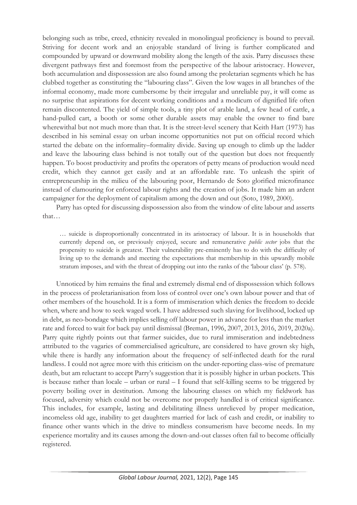belonging such as tribe, creed, ethnicity revealed in monolingual proficiency is bound to prevail. Striving for decent work and an enjoyable standard of living is further complicated and compounded by upward or downward mobility along the length of the axis. Parry discusses these divergent pathways first and foremost from the perspective of the labour aristocracy. However, both accumulation and dispossession are also found among the proletarian segments which he has clubbed together as constituting the "labouring class". Given the low wages in all branches of the informal economy, made more cumbersome by their irregular and unreliable pay, it will come as no surprise that aspirations for decent working conditions and a modicum of dignified life often remain discontented. The yield of simple tools, a tiny plot of arable land, a few head of cattle, a hand-pulled cart, a booth or some other durable assets may enable the owner to find bare wherewithal but not much more than that. It is the street-level scenery that Keith Hart (1973) has described in his seminal essay on urban income opportunities not put on official record which started the debate on the informality–formality divide. Saving up enough to climb up the ladder and leave the labouring class behind is not totally out of the question but does not frequently happen. To boost productivity and profits the operators of petty means of production would need credit, which they cannot get easily and at an affordable rate. To unleash the spirit of entrepreneurship in the milieu of the labouring poor, Hernando de Soto glorified microfinance instead of clamouring for enforced labour rights and the creation of jobs. It made him an ardent campaigner for the deployment of capitalism among the down and out (Soto, 1989, 2000).

Parry has opted for discussing dispossession also from the window of elite labour and asserts that…

… suicide is disproportionally concentrated in its aristocracy of labour. It is in households that currently depend on, or previously enjoyed, secure and remunerative *public sector* jobs that the propensity to suicide is greatest. Their vulnerability pre-eminently has to do with the difficulty of living up to the demands and meeting the expectations that membership in this upwardly mobile stratum imposes, and with the threat of dropping out into the ranks of the 'labour class' (p. 578).

Unnoticed by him remains the final and extremely dismal end of dispossession which follows in the process of proletarianisation from loss of control over one's own labour power and that of other members of the household. It is a form of immiseration which denies the freedom to decide when, where and how to seek waged work. I have addressed such slaving for livelihood, locked up in debt, as neo-bondage which implies selling off labour power in advance for less than the market rate and forced to wait for back pay until dismissal (Breman, 1996, 2007, 2013, 2016, 2019, 2020a). Parry quite rightly points out that farmer suicides, due to rural immiseration and indebtedness attributed to the vagaries of commercialised agriculture, are considered to have grown sky high, while there is hardly any information about the frequency of self-inflected death for the rural landless. I could not agree more with this criticism on the under-reporting class-wise of premature death, but am reluctant to accept Parry's suggestion that it is possibly higher in urban pockets. This is because rather than locale – urban or rural – I found that self-killing seems to be triggered by poverty boiling over in destitution. Among the labouring classes on which my fieldwork has focused, adversity which could not be overcome nor properly handled is of critical significance. This includes, for example, lasting and debilitating illness unrelieved by proper medication, incomeless old age, inability to get daughters married for lack of cash and credit, or inability to finance other wants which in the drive to mindless consumerism have become needs. In my experience mortality and its causes among the down-and-out classes often fail to become officially registered.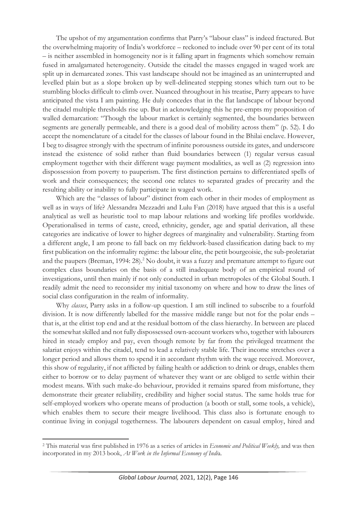The upshot of my argumentation confirms that Parry's "labour class" is indeed fractured. But the overwhelming majority of India's workforce – reckoned to include over 90 per cent of its total – is neither assembled in homogeneity nor is it falling apart in fragments which somehow remain fused in amalgamated heterogeneity. Outside the citadel the masses engaged in waged work are split up in demarcated zones. This vast landscape should not be imagined as an uninterrupted and levelled plain but as a slope broken up by well-delineated stepping stones which turn out to be stumbling blocks difficult to climb over. Nuanced throughout in his treatise, Parry appears to have anticipated the vista I am painting. He duly concedes that in the flat landscape of labour beyond the citadel multiple thresholds rise up. But in acknowledging this he pre-empts my proposition of walled demarcation: "Though the labour market is certainly segmented, the boundaries between segments are generally permeable, and there is a good deal of mobility across them" (p. 52). I do accept the nomenclature of a citadel for the classes of labour found in the Bhilai enclave. However, I beg to disagree strongly with the spectrum of infinite porousness outside its gates, and underscore instead the existence of solid rather than fluid boundaries between (1) regular versus casual employment together with their different wage payment modalities, as well as (2) regression into dispossession from poverty to pauperism. The first distinction pertains to differentiated spells of work and their consequences; the second one relates to separated grades of precarity and the resulting ability or inability to fully participate in waged work.

Which are the "classes of labour" distinct from each other in their modes of employment as well as in ways of life? Alessandra Mezzadri and Lulu Fan (2018) have argued that this is a useful analytical as well as heuristic tool to map labour relations and working life profiles worldwide. Operationalised in terms of caste, creed, ethnicity, gender, age and spatial derivation, all these categories are indicative of lower to higher degrees of marginality and vulnerability. Starting from a different angle, I am prone to fall back on my fieldwork-based classification dating back to my first publication on the informality regime: the labour elite, the petit bourgeoisie, the sub-proletariat and the paupers (Breman, 1994: 28).<sup>2</sup> No doubt, it was a fuzzy and premature attempt to figure out complex class boundaries on the basis of a still inadequate body of an empirical round of investigations, until then mainly if not only conducted in urban metropoles of the Global South. I readily admit the need to reconsider my initial taxonomy on where and how to draw the lines of social class configuration in the realm of informality.

Why *classes*, Parry asks in a follow-up question. I am still inclined to subscribe to a fourfold division. It is now differently labelled for the massive middle range but not for the polar ends – that is, at the elitist top end and at the residual bottom of the class hierarchy. In between are placed the somewhat skilled and not fully dispossessed own-account workers who, together with labourers hired in steady employ and pay, even though remote by far from the privileged treatment the salariat enjoys within the citadel, tend to lead a relatively stable life. Their income stretches over a longer period and allows them to spend it in accordant rhythm with the wage received. Moreover, this show of regularity, if not afflicted by failing health or addiction to drink or drugs, enables them either to borrow or to delay payment of whatever they want or are obliged to settle within their modest means. With such make-do behaviour, provided it remains spared from misfortune, they demonstrate their greater reliability, credibility and higher social status. The same holds true for self-employed workers who operate means of production (a booth or stall, some tools, a vehicle), which enables them to secure their meagre livelihood. This class also is fortunate enough to continue living in conjugal togetherness. The labourers dependent on casual employ, hired and

<sup>2</sup> This material was first published in 1976 as a series of articles in *Economic and Political Weekly,* and was then incorporated in my 2013 book, *At Work in the Informal Economy of Indi*a.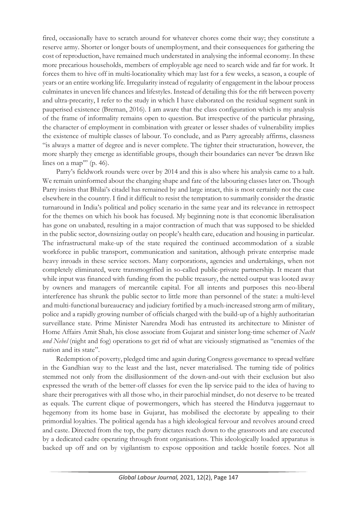fired, occasionally have to scratch around for whatever chores come their way; they constitute a reserve army. Shorter or longer bouts of unemployment, and their consequences for gathering the cost of reproduction, have remained much understated in analysing the informal economy. In these more precarious households, members of employable age need to search wide and far for work. It forces them to hive off in multi-locationality which may last for a few weeks, a season, a couple of years or an entire working life. Irregularity instead of regularity of engagement in the labour process culminates in uneven life chances and lifestyles. Instead of detailing this for the rift between poverty and ultra-precarity, I refer to the study in which I have elaborated on the residual segment sunk in pauperised existence (Breman, 2016). I am aware that the class configuration which is my analysis of the frame of informality remains open to question. But irrespective of the particular phrasing, the character of employment in combination with greater or lesser shades of vulnerability implies the existence of multiple classes of labour. To conclude, and as Parry agreeably affirms, classness "is always a matter of degree and is never complete. The tighter their structuration, however, the more sharply they emerge as identifiable groups, though their boundaries can never 'be drawn like lines on a map'" (p. 46).

Parry's fieldwork rounds were over by 2014 and this is also where his analysis came to a halt. We remain uninformed about the changing shape and fate of the labouring classes later on. Though Parry insists that Bhilai's citadel has remained by and large intact, this is most certainly not the case elsewhere in the country. I find it difficult to resist the temptation to summarily consider the drastic turnaround in India's political and policy scenario in the same year and its relevance in retrospect for the themes on which his book has focused. My beginning note is that economic liberalisation has gone on unabated, resulting in a major contraction of much that was supposed to be shielded in the public sector, downsizing outlay on people's health care, education and housing in particular. The infrastructural make-up of the state required the continued accommodation of a sizable workforce in public transport, communication and sanitation, although private enterprise made heavy inroads in these service sectors. Many corporations, agencies and undertakings, when not completely eliminated, were transmogrified in so-called public-private partnership. It meant that while input was financed with funding from the public treasury, the netted output was looted away by owners and managers of mercantile capital. For all intents and purposes this neo-liberal interference has shrunk the public sector to little more than personnel of the state: a multi-level and multi-functional bureaucracy and judiciary fortified by a much-increased strong arm of military, police and a rapidly growing number of officials charged with the build-up of a highly authoritarian surveillance state. Prime Minister Narendra Modi has entrusted its architecture to Minister of Home Affairs Amit Shah, his close associate from Gujarat and sinister long-time schemer of *Nacht und Nebel* (night and fog) operations to get rid of what are viciously stigmatised as "enemies of the nation and its state".

Redemption of poverty, pledged time and again during Congress governance to spread welfare in the Gandhian way to the least and the last, never materialised. The turning tide of politics stemmed not only from the disillusionment of the down-and-out with their exclusion but also expressed the wrath of the better-off classes for even the lip service paid to the idea of having to share their prerogatives with all those who, in their parochial mindset, do not deserve to be treated as equals. The current clique of powermongers, which has steered the Hindutva juggernaut to hegemony from its home base in Gujarat, has mobilised the electorate by appealing to their primordial loyalties. The political agenda has a high ideological fervour and revolves around creed and caste. Directed from the top, the party dictates reach down to the grassroots and are executed by a dedicated cadre operating through front organisations. This ideologically loaded apparatus is backed up off and on by vigilantism to expose opposition and tackle hostile forces. Not all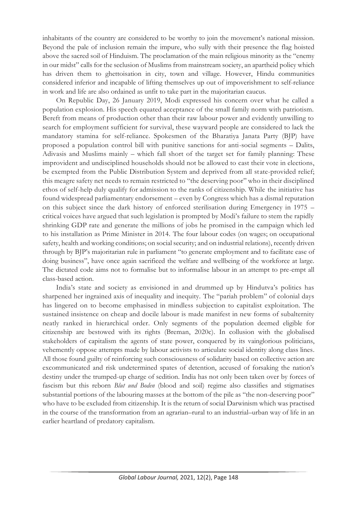inhabitants of the country are considered to be worthy to join the movement's national mission. Beyond the pale of inclusion remain the impure, who sully with their presence the flag hoisted above the sacred soil of Hinduism. The proclamation of the main religious minority as the "enemy in our midst" calls for the seclusion of Muslims from mainstream society, an apartheid policy which has driven them to ghettoisation in city, town and village. However, Hindu communities considered inferior and incapable of lifting themselves up out of impoverishment to self-reliance in work and life are also ordained as unfit to take part in the majoritarian caucus.

On Republic Day, 26 January 2019, Modi expressed his concern over what he called a population explosion. His speech equated acceptance of the small family norm with patriotism. Bereft from means of production other than their raw labour power and evidently unwilling to search for employment sufficient for survival, these wayward people are considered to lack the mandatory stamina for self-reliance. Spokesmen of the Bharatiya Janata Party (BJP) have proposed a population control bill with punitive sanctions for anti-social segments – Dalits, Adivasis and Muslims mainly – which fall short of the target set for family planning: These improvident and undisciplined households should not be allowed to cast their vote in elections, be exempted from the Public Distribution System and deprived from all state-provided relief; this meagre safety net needs to remain restricted to "the deserving poor" who in their disciplined ethos of self-help duly qualify for admission to the ranks of citizenship. While the initiative has found widespread parliamentary endorsement – even by Congress which has a dismal reputation on this subject since the dark history of enforced sterilisation during Emergency in 1975 – critical voices have argued that such legislation is prompted by Modi's failure to stem the rapidly shrinking GDP rate and generate the millions of jobs he promised in the campaign which led to his installation as Prime Minister in 2014. The four labour codes (on wages; on occupational safety, health and working conditions; on social security; and on industrial relations), recently driven through by BJP's majoritarian rule in parliament "to generate employment and to facilitate ease of doing business", have once again sacrificed the welfare and wellbeing of the workforce at large. The dictated code aims not to formalise but to informalise labour in an attempt to pre-empt all class-based action.

India's state and society as envisioned in and drummed up by Hindutva's politics has sharpened her ingrained axis of inequality and inequity. The "pariah problem" of colonial days has lingered on to become emphasised in mindless subjection to capitalist exploitation. The sustained insistence on cheap and docile labour is made manifest in new forms of subalternity neatly ranked in hierarchical order. Only segments of the population deemed eligible for citizenship are bestowed with its rights (Breman, 2020c). In collusion with the globalised stakeholders of capitalism the agents of state power, conquered by its vainglorious politicians, vehemently oppose attempts made by labour activists to articulate social identity along class lines. All those found guilty of reinforcing such consciousness of solidarity based on collective action are excommunicated and risk undetermined spates of detention, accused of forsaking the nation's destiny under the trumped-up charge of sedition. India has not only been taken over by forces of fascism but this reborn *Blut und Boden* (blood and soil) regime also classifies and stigmatises substantial portions of the labouring masses at the bottom of the pile as "the non-deserving poor" who have to be excluded from citizenship. It is the return of social Darwinism which was practised in the course of the transformation from an agrarian–rural to an industrial–urban way of life in an earlier heartland of predatory capitalism.